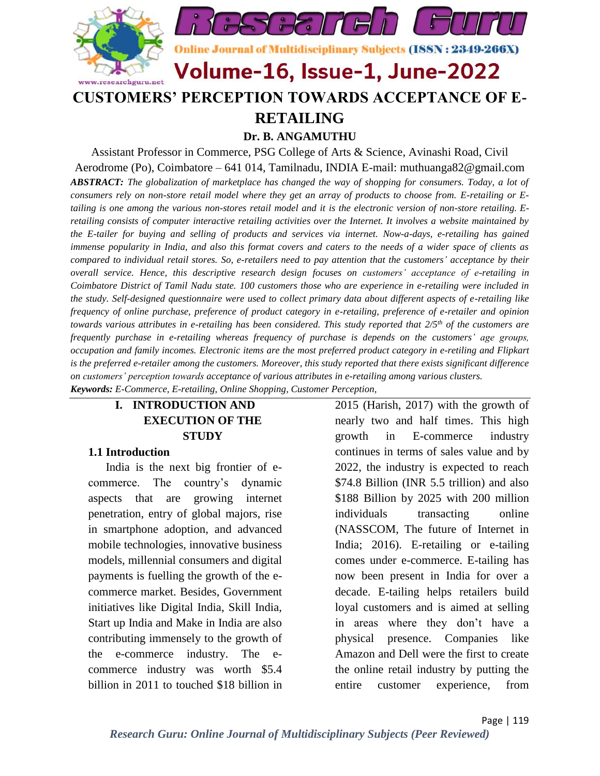

**RETAILING Dr. B. ANGAMUTHU** 

Assistant Professor in Commerce, PSG College of Arts & Science, Avinashi Road, Civil Aerodrome (Po), Coimbatore – 641 014, Tamilnadu, INDIA E-mail: [muthuanga82@gmail.com](mailto:muthuanga82@gmail.com) *ABSTRACT: The globalization of marketplace has changed the way of shopping for consumers. Today, a lot of consumers rely on non-store retail model where they get an array of products to choose from. E-retailing or Etailing is one among the various non-stores retail model and it is the electronic version of non-store retailing. Eretailing consists of computer interactive retailing activities over the Internet. It involves a website maintained by the E-tailer for buying and selling of products and services via internet. Now-a-days, e-retailing has gained immense popularity in India, and also this format covers and caters to the needs of a wider space of clients as compared to individual retail stores. So, e-retailers need to pay attention that the customers' acceptance by their overall service. Hence, this descriptive research design focuses on customers' acceptance of e-retailing in Coimbatore District of Tamil Nadu state. 100 customers those who are experience in e-retailing were included in the study. Self-designed questionnaire were used to collect primary data about different aspects of e-retailing like frequency of online purchase, preference of product category in e-retailing, preference of e-retailer and opinion towards various attributes in e-retailing has been considered. This study reported that 2/5th of the customers are frequently purchase in e-retailing whereas frequency of purchase is depends on the customers' age groups, occupation and family incomes. Electronic items are the most preferred product category in e-retiling and Flipkart is the preferred e-retailer among the customers. Moreover, this study reported that there exists significant difference on customers' perception towards acceptance of various attributes in e-retailing among various clusters. Keywords: E-Commerce, E-retailing, Online Shopping, Customer Perception,* 

### **I. INTRODUCTION AND EXECUTION OF THE STUDY**

#### **1.1 Introduction**

India is the next big frontier of ecommerce. The country's dynamic aspects that are growing internet penetration, entry of global majors, rise in smartphone adoption, and advanced mobile technologies, innovative business models, millennial consumers and digital payments is fuelling the growth of the ecommerce market. Besides, Government initiatives like Digital India, Skill India, Start up India and Make in India are also contributing immensely to the growth of the e-commerce industry. The ecommerce industry was worth \$5.4 billion in 2011 to touched \$18 billion in

2015 (Harish, 2017) with the growth of nearly two and half times. This high growth in E-commerce industry continues in terms of sales value and by 2022, the industry is expected to reach \$74.8 Billion (INR 5.5 trillion) and also \$188 Billion by 2025 with 200 million individuals transacting online (NASSCOM, The future of Internet in India; 2016). E-retailing or e-tailing comes under e-commerce. E-tailing has now been present in India for over a decade. E-tailing helps retailers build loyal customers and is aimed at selling in areas where they don't have a physical presence. Companies like Amazon and Dell were the first to create the online retail industry by putting the entire customer experience, from

Page | 119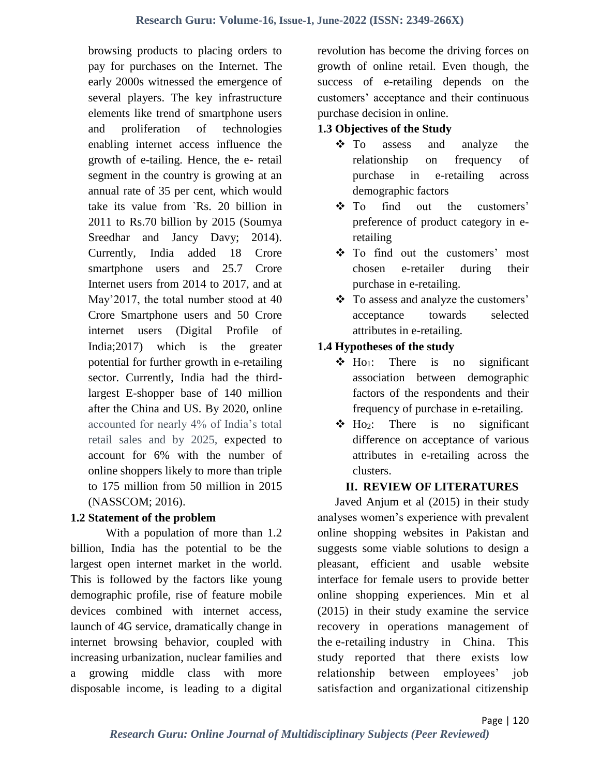browsing products to placing orders to pay for purchases on the Internet. The early 2000s witnessed the emergence of several players. The key infrastructure elements like trend of smartphone users and proliferation of technologies enabling internet access influence the growth of e-tailing. Hence, the e- retail segment in the country is growing at an annual rate of 35 per cent, which would take its value from `Rs. 20 billion in 2011 to Rs.70 billion by 2015 (Soumya Sreedhar and Jancy Davy; 2014). Currently, India added 18 Crore smartphone users and 25.7 Crore Internet users from 2014 to 2017, and at May'2017, the total number stood at 40 Crore Smartphone users and 50 Crore internet users (Digital Profile of India;2017) which is the greater potential for further growth in e-retailing sector. Currently, India had the thirdlargest E-shopper base of 140 million after the China and US. By 2020, online accounted for nearly 4% of India's total retail sales and by 2025, expected to account for 6% with the number of online shoppers likely to more than triple to 175 million from 50 million in 2015 (NASSCOM; 2016).

### **1.2 Statement of the problem**

With a population of more than 1.2 billion, India has the potential to be the largest open internet market in the world. This is followed by the factors like young demographic profile, rise of feature mobile devices combined with internet access, launch of 4G service, dramatically change in internet browsing behavior, coupled with increasing urbanization, nuclear families and a growing middle class with more disposable income, is leading to a digital

revolution has become the driving forces on growth of online retail. Even though, the success of e-retailing depends on the customers' acceptance and their continuous purchase decision in online.

### **1.3 Objectives of the Study**

- To assess and analyze the relationship on frequency of purchase in e-retailing across demographic factors
- To find out the customers' preference of product category in eretailing
- \* To find out the customers' most chosen e-retailer during their purchase in e-retailing.
- To assess and analyze the customers' acceptance towards selected attributes in e-retailing.

# **1.4 Hypotheses of the study**

- $\div$  Ho<sub>1</sub>: There is no significant association between demographic factors of the respondents and their frequency of purchase in e-retailing.
- $\triangle$  Ho<sub>2</sub>: There is no significant difference on acceptance of various attributes in e-retailing across the clusters.

# **II. REVIEW OF LITERATURES**

Javed Anjum et al (2015) in their study analyses women's experience with prevalent online shopping websites in Pakistan and suggests some viable solutions to design a pleasant, efficient and usable website interface for female users to provide better online shopping experiences. Min et al (2015) in their study examine the service recovery in operations management of the e-retailing industry in China. This study reported that there exists low relationship between employees' job satisfaction and organizational citizenship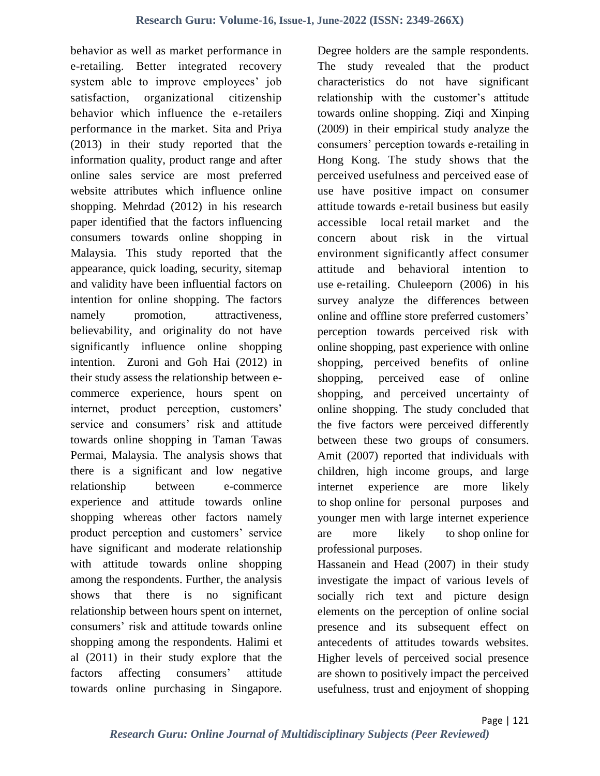behavior as well as market performance in e-retailing. Better integrated recovery system able to improve employees' job satisfaction, organizational citizenship behavior which influence the e-retailers performance in the market. Sita and Priya (2013) in their study reported that the information quality, product range and after online sales service are most preferred website attributes which influence online shopping. Mehrdad (2012) in his research paper identified that the factors influencing consumers towards online shopping in Malaysia. This study reported that the appearance, quick loading, security, sitemap and validity have been influential factors on intention for online shopping. The factors namely promotion, attractiveness, believability, and originality do not have significantly influence online shopping intention. Zuroni and Goh Hai (2012) in their study assess the relationship between ecommerce experience, hours spent on internet, product perception, customers' service and consumers' risk and attitude towards online shopping in Taman Tawas Permai, Malaysia. The analysis shows that there is a significant and low negative relationship between e-commerce experience and attitude towards online shopping whereas other factors namely product perception and customers' service have significant and moderate relationship with attitude towards online shopping among the respondents. Further, the analysis shows that there is no significant relationship between hours spent on internet, consumers' risk and attitude towards online shopping among the respondents. Halimi et al (2011) in their study explore that the factors affecting consumers' attitude towards online purchasing in Singapore.

Degree holders are the sample respondents. The study revealed that the product characteristics do not have significant relationship with the customer's attitude towards online shopping. Ziqi and Xinping (2009) in their empirical study analyze the consumers' perception towards e-retailing in Hong Kong. The study shows that the perceived usefulness and perceived ease of use have positive impact on consumer attitude towards e‐retail business but easily accessible local retail market and the concern about risk in the virtual environment significantly affect consumer attitude and behavioral intention to use e-retailing. Chuleeporn (2006) in his survey analyze the differences between online and offline store preferred customers' perception towards perceived risk with online shopping, past experience with online shopping, perceived benefits of online shopping, perceived ease of online shopping, and perceived uncertainty of online shopping. The study concluded that the five factors were perceived differently between these two groups of consumers. Amit (2007) reported that individuals with children, high income groups, and large internet experience are more likely to shop online for personal purposes and younger men with large internet experience are more likely to shop online for professional purposes.

Hassanein and Head (2007) in their study investigate the impact of various levels of socially rich text and picture design elements on the perception of online social presence and its subsequent effect on antecedents of attitudes towards websites. Higher levels of perceived social presence are shown to positively impact the perceived usefulness, trust and enjoyment of shopping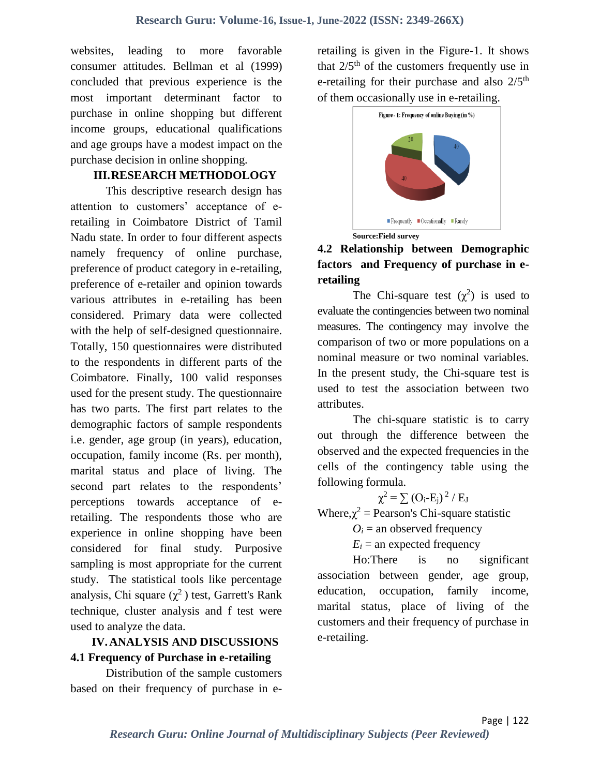websites, leading to more favorable consumer attitudes. Bellman et al (1999) concluded that previous experience is the most important determinant factor to purchase in online shopping but different income groups, educational qualifications and age groups have a modest impact on the purchase decision in online shopping.

### **III.RESEARCH METHODOLOGY**

This descriptive research design has attention to customers' acceptance of eretailing in Coimbatore District of Tamil Nadu state. In order to four different aspects namely frequency of online purchase, preference of product category in e-retailing, preference of e-retailer and opinion towards various attributes in e-retailing has been considered. Primary data were collected with the help of self-designed questionnaire. Totally, 150 questionnaires were distributed to the respondents in different parts of the Coimbatore. Finally, 100 valid responses used for the present study. The questionnaire has two parts. The first part relates to the demographic factors of sample respondents i.e. gender, age group (in years), education, occupation, family income (Rs. per month), marital status and place of living. The second part relates to the respondents' perceptions towards acceptance of eretailing. The respondents those who are experience in online shopping have been considered for final study. Purposive sampling is most appropriate for the current study. The statistical tools like percentage analysis, Chi square  $(\chi^2)$  test, Garrett's Rank technique, cluster analysis and f test were used to analyze the data.

### **IV.ANALYSIS AND DISCUSSIONS 4.1 Frequency of Purchase in e-retailing**

Distribution of the sample customers based on their frequency of purchase in eretailing is given in the Figure-1. It shows that  $2/5<sup>th</sup>$  of the customers frequently use in e-retailing for their purchase and also  $2/5<sup>th</sup>$ of them occasionally use in e-retailing.



# **4.2 Relationship between Demographic factors and Frequency of purchase in eretailing**

The Chi-square test  $(\chi^2)$  is used to evaluate the contingencies between two nominal measures. The contingency may involve the comparison of two or more populations on a nominal measure or two nominal variables. In the present study, the Chi-square test is used to test the association between two attributes.

The chi-square statistic is to carry out through the difference between the observed and the expected frequencies in the cells of the contingency table using the following formula.

$$
\chi^2 \equiv \sum \left( O_i \text{-} E_j \right) {}^2 \mathbin{/} E_J
$$

Where, $\chi^2$  = Pearson's Chi-square statistic

 $O_i$  = an observed frequency

 $E_i$  = an expected frequency

Ho:There is no significant association between gender, age group, education, occupation, family income, marital status, place of living of the customers and their frequency of purchase in e-retailing.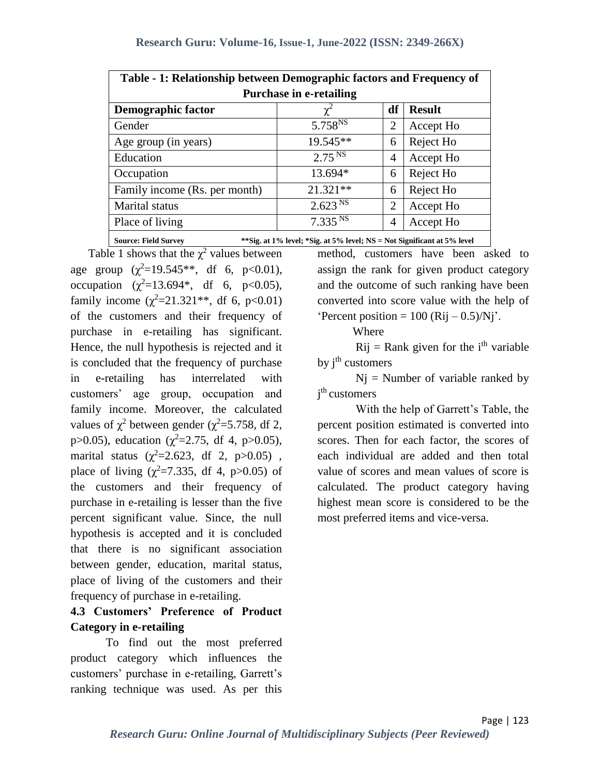| Table - 1: Relationship between Demographic factors and Frequency of                                                                                                                                                                                                                                                                                   |                              |    |               |  |  |  |
|--------------------------------------------------------------------------------------------------------------------------------------------------------------------------------------------------------------------------------------------------------------------------------------------------------------------------------------------------------|------------------------------|----|---------------|--|--|--|
| <b>Purchase in e-retailing</b>                                                                                                                                                                                                                                                                                                                         |                              |    |               |  |  |  |
| <b>Demographic factor</b>                                                                                                                                                                                                                                                                                                                              | $\chi^2$                     | df | <b>Result</b> |  |  |  |
| Gender                                                                                                                                                                                                                                                                                                                                                 | 5.758 <sup>NS</sup>          | 2  | Accept Ho     |  |  |  |
| Age group (in years)                                                                                                                                                                                                                                                                                                                                   | 19.545**                     | 6  | Reject Ho     |  |  |  |
| Education                                                                                                                                                                                                                                                                                                                                              | 2.75 <sup>NS</sup>           | 4  | Accept Ho     |  |  |  |
| Occupation                                                                                                                                                                                                                                                                                                                                             | 13.694*                      | 6  | Reject Ho     |  |  |  |
| Family income (Rs. per month)                                                                                                                                                                                                                                                                                                                          | $21.321**$                   | 6  | Reject Ho     |  |  |  |
| Marital status                                                                                                                                                                                                                                                                                                                                         | 2.623 <sup>NS</sup>          | 2  | Accept Ho     |  |  |  |
| Place of living                                                                                                                                                                                                                                                                                                                                        | $7.335 \overline{\text{NS}}$ | 4  | Accept Ho     |  |  |  |
| $\sim$<br>$\mathbf{r}$ , $\mathbf{r}$ , $\mathbf{r}$ , $\mathbf{r}$ , $\mathbf{r}$ , $\mathbf{r}$ , $\mathbf{r}$ , $\mathbf{r}$ , $\mathbf{r}$ , $\mathbf{r}$ , $\mathbf{r}$ , $\mathbf{r}$ , $\mathbf{r}$ , $\mathbf{r}$ , $\mathbf{r}$ , $\mathbf{r}$ , $\mathbf{r}$ , $\mathbf{r}$ , $\mathbf{r}$ , $\mathbf{r}$ ,<br>$\mathbf{r}$ and $\mathbf{r}$ |                              |    |               |  |  |  |

\*\*Sig. at 1% level; \*Sig. at 5% level; NS = Not Significant at 5% level

Table 1 shows that the  $\chi^2$  values between age group  $(\chi^2=19.545**, df 6, p<0.01)$ , occupation  $(\chi^2 = 13.694^*$ , df 6, p<0.05), family income  $(\chi^2 = 21.321^{**}, \text{ df } 6, \text{ p} < 0.01)$ of the customers and their frequency of purchase in e-retailing has significant. Hence, the null hypothesis is rejected and it is concluded that the frequency of purchase in e-retailing has interrelated with customers' age group, occupation and family income. Moreover, the calculated values of  $\chi^2$  between gender ( $\chi^2$ =5.758, df 2, p > 0.05), education ( $\chi^2$  = 2.75, df 4, p > 0.05), marital status ( $\chi^2$ =2.623, df 2, p>0.05), place of living  $(\chi^2=7.335, df 4, p>0.05)$  of the customers and their frequency of purchase in e-retailing is lesser than the five percent significant value. Since, the null hypothesis is accepted and it is concluded that there is no significant association between gender, education, marital status, place of living of the customers and their frequency of purchase in e-retailing.

### **4.3 Customers' Preference of Product Category in e-retailing**

To find out the most preferred product category which influences the customers' purchase in e-retailing, Garrett's ranking technique was used. As per this

method, customers have been asked to assign the rank for given product category and the outcome of such ranking have been converted into score value with the help of 'Percent position =  $100$  (Rij – 0.5)/Nj'.

Where

 $Rij = Rank$  given for the i<sup>th</sup> variable by *j*<sup>th</sup> customers

 $Nj$  = Number of variable ranked by j<sup>th</sup> customers

With the help of Garrett's Table, the percent position estimated is converted into scores. Then for each factor, the scores of each individual are added and then total value of scores and mean values of score is calculated. The product category having highest mean score is considered to be the most preferred items and vice-versa.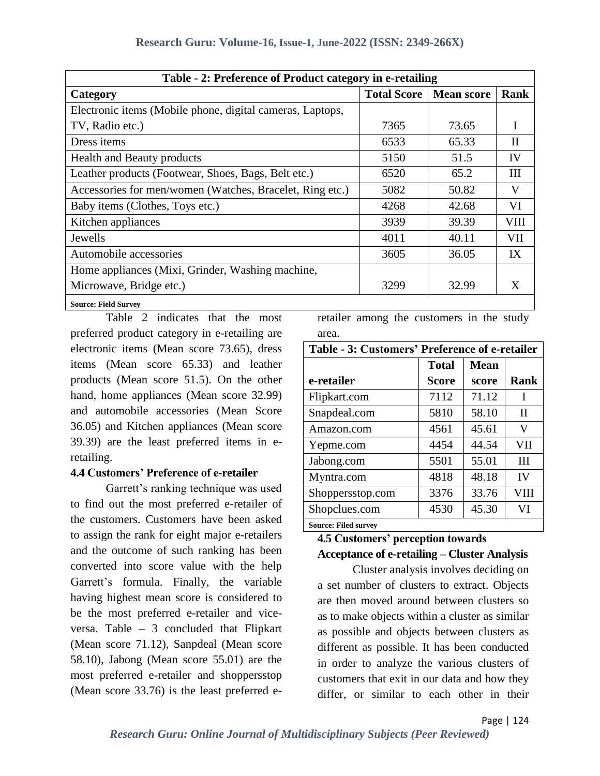| Table - 2: Preference of Product category in e-retailing  |                    |                   |             |  |  |  |  |
|-----------------------------------------------------------|--------------------|-------------------|-------------|--|--|--|--|
| Category                                                  | <b>Total Score</b> | <b>Mean score</b> | Rank        |  |  |  |  |
| Electronic items (Mobile phone, digital cameras, Laptops, |                    |                   |             |  |  |  |  |
| TV, Radio etc.)                                           | 7365               | 73.65             |             |  |  |  |  |
| Dress items                                               | 6533               | 65.33             | H           |  |  |  |  |
| <b>Health and Beauty products</b>                         | 5150               | 51.5              | IV          |  |  |  |  |
| Leather products (Footwear, Shoes, Bags, Belt etc.)       | 6520               | 65.2              | Ш           |  |  |  |  |
| Accessories for men/women (Watches, Bracelet, Ring etc.)  | 5082               | 50.82             | V           |  |  |  |  |
| Baby items (Clothes, Toys etc.)                           | 4268               | 42.68             | VI          |  |  |  |  |
| Kitchen appliances                                        | 3939               | 39.39             | <b>VIII</b> |  |  |  |  |
| Jewells                                                   | 4011               | 40.11             | VII         |  |  |  |  |
| Automobile accessories                                    | 3605               | 36.05             | IX          |  |  |  |  |
| Home appliances (Mixi, Grinder, Washing machine,          |                    |                   |             |  |  |  |  |
| Microwave, Bridge etc.)                                   | 3299               | 32.99             | X           |  |  |  |  |
| <b>Source: Field Survey</b>                               |                    |                   |             |  |  |  |  |

Table 2 indicates that the most preferred product category in e-retailing are electronic items (Mean score 73.65), dress items (Mean score 65.33) and leather products (Mean score 51.5). On the other hand, home appliances (Mean score 32.99) and automobile accessories (Mean Score 36.05) and Kitchen appliances (Mean score 39.39) are the least preferred items in eretailing.

#### **4.4 Customers' Preference of e-retailer**

Garrett's ranking technique was used to find out the most preferred e-retailer of the customers. Customers have been asked to assign the rank for eight major e-retailers and the outcome of such ranking has been converted into score value with the help Garrett's formula. Finally, the variable having highest mean score is considered to be the most preferred e-retailer and viceversa. Table – 3 concluded that Flipkart (Mean score 71.12), Sanpdeal (Mean score 58.10), Jabong (Mean score 55.01) are the most preferred e-retailer and shoppersstop (Mean score 33.76) is the least preferred e-

retailer among the customers in the study area.

| Table - 3: Customers' Preference of e-retailer |              |             |             |  |  |
|------------------------------------------------|--------------|-------------|-------------|--|--|
|                                                | <b>Total</b> | <b>Mean</b> |             |  |  |
| e-retailer                                     | Score        | score       | <b>Rank</b> |  |  |
| Flipkart.com                                   | 7112         | 71.12       | T           |  |  |
| Snapdeal.com                                   | 5810         | 58.10       | $_{\rm II}$ |  |  |
| Amazon.com                                     | 4561         | 45.61       | V           |  |  |
| Yepme.com                                      | 4454         | 44.54       | <b>VII</b>  |  |  |
| Jabong.com                                     | 5501         | 55.01       | Ш           |  |  |
| Myntra.com                                     | 4818         | 48.18       | IV          |  |  |
| Shoppersstop.com                               | 3376         | 33.76       | VIII        |  |  |
| Shopclues.com                                  | 4530         | 45.30       | VI          |  |  |
| <b>Source: Filed survey</b>                    |              |             |             |  |  |

# **4.5 Customers' perception towards**

# **Acceptance of e-retailing – Cluster Analysis**

Cluster analysis involves deciding on a set number of clusters to extract. Objects are then moved around between clusters so as to make objects within a cluster as similar as possible and objects between clusters as different as possible. It has been conducted in order to analyze the various clusters of customers that exit in our data and how they differ, or similar to each other in their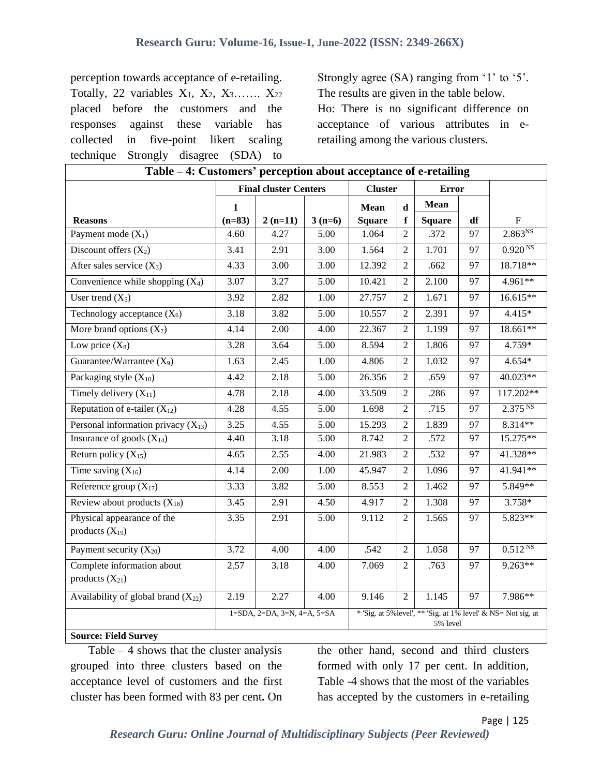perception towards acceptance of e-retailing. Totally, 22 variables  $X_1$ ,  $X_2$ ,  $X_3$ …….  $X_{22}$ placed before the customers and the responses against these variable has collected in five-point likert scaling technique Strongly disagree (SDA) to Strongly agree (SA) ranging from '1' to '5'. The results are given in the table below. Ho: There is no significant difference on acceptance of various attributes in eretailing among the various clusters.

| Table – 4: Customers' perception about acceptance of e-retailing |                                                                                                                        |                              |          |                |                |               |                 |                     |
|------------------------------------------------------------------|------------------------------------------------------------------------------------------------------------------------|------------------------------|----------|----------------|----------------|---------------|-----------------|---------------------|
|                                                                  |                                                                                                                        | <b>Final cluster Centers</b> |          | <b>Cluster</b> |                | <b>Error</b>  |                 |                     |
|                                                                  | $\mathbf{1}$                                                                                                           |                              |          | <b>Mean</b>    | $\mathbf d$    | Mean          |                 |                     |
| <b>Reasons</b>                                                   | $(n=83)$                                                                                                               | $2(n=11)$                    | $3(n=6)$ | <b>Square</b>  | f              | <b>Square</b> | df              | ${\bf F}$           |
| Payment mode $(X_1)$                                             | 4.60                                                                                                                   | 4.27                         | 5.00     | 1.064          | $\mathfrak{D}$ | .372          | 97              | $2.863^{NS}$        |
| Discount offers $(X_2)$                                          | 3.41                                                                                                                   | 2.91                         | 3.00     | 1.564          | $\overline{2}$ | 1.701         | 97              | 0.920 <sup>NS</sup> |
| After sales service $(X_3)$                                      | 4.33                                                                                                                   | 3.00                         | 3.00     | 12.392         | $\overline{2}$ | .662          | 97              | 18.718**            |
| Convenience while shopping $(X_4)$                               | 3.07                                                                                                                   | 3.27                         | 5.00     | 10.421         | $\overline{2}$ | 2.100         | 97              | 4.961**             |
| User trend $(X_5)$                                               | 3.92                                                                                                                   | 2.82                         | 1.00     | 27.757         | $\overline{2}$ | 1.671         | 97              | 16.615**            |
| Technology acceptance $(X_6)$                                    | 3.18                                                                                                                   | 3.82                         | 5.00     | 10.557         | $\overline{2}$ | 2.391         | 97              | $4.415*$            |
| More brand options $(X_7)$                                       | 4.14                                                                                                                   | 2.00                         | 4.00     | 22.367         | $\overline{2}$ | 1.199         | 97              | 18.661**            |
| Low price $(X_8)$                                                | 3.28                                                                                                                   | 3.64                         | 5.00     | 8.594          | $\overline{2}$ | 1.806         | 97              | $4.759*$            |
| Guarantee/Warrantee $(X_9)$                                      | 1.63                                                                                                                   | 2.45                         | 1.00     | 4.806          | $\overline{2}$ | 1.032         | 97              | $4.654*$            |
| Packaging style $(X_{10})$                                       | 4.42                                                                                                                   | 2.18                         | 5.00     | 26.356         | $\overline{2}$ | .659          | 97              | 40.023**            |
| Timely delivery $(X_{11})$                                       | 4.78                                                                                                                   | 2.18                         | 4.00     | 33.509         | $\overline{2}$ | .286          | 97              | 117.202**           |
| Reputation of e-tailer $(X_{12})$                                | 4.28                                                                                                                   | 4.55                         | 5.00     | 1.698          | $\overline{2}$ | .715          | 97              | 2.375 <sup>NS</sup> |
| Personal information privacy $(X_{13})$                          | 3.25                                                                                                                   | 4.55                         | 5.00     | 15.293         | $\overline{2}$ | 1.839         | 97              | 8.314**             |
| Insurance of goods $(X_{14})$                                    | 4.40                                                                                                                   | 3.18                         | 5.00     | 8.742          | $\overline{2}$ | .572          | 97              | 15.275**            |
| Return policy $(X_{15})$                                         | 4.65                                                                                                                   | 2.55                         | 4.00     | 21.983         | $\overline{2}$ | .532          | 97              | 41.328**            |
| Time saving $(X_{16})$                                           | 4.14                                                                                                                   | 2.00                         | 1.00     | 45.947         | $\overline{2}$ | 1.096         | 97              | 41.941**            |
| Reference group $(X_{17})$                                       | 3.33                                                                                                                   | 3.82                         | 5.00     | 8.553          | $\overline{2}$ | 1.462         | 97              | 5.849**             |
| Review about products $(X_{18})$                                 | 3.45                                                                                                                   | 2.91                         | 4.50     | 4.917          | $\overline{2}$ | 1.308         | 97              | 3.758*              |
| Physical appearance of the<br>products $(X_{19})$                | 3.35                                                                                                                   | 2.91                         | 5.00     | 9.112          | $\overline{2}$ | 1.565         | 97              | 5.823**             |
| Payment security $(X_{20})$                                      | 3.72                                                                                                                   | 4.00                         | 4.00     | .542           | $\overline{2}$ | 1.058         | 97              | $0.512^{NS}$        |
| Complete information about<br>products $(X_{21})$                | 2.57                                                                                                                   | 3.18                         | 4.00     | 7.069          | $\overline{2}$ | .763          | 97              | $9.263**$           |
| Availability of global brand $(X_{22})$                          | 2.19                                                                                                                   | 2.27                         | 4.00     | 9.146          | $\overline{2}$ | 1.145         | $\overline{97}$ | 7.986**             |
| <b>Source: Field Survey</b>                                      | * 'Sig. at 5% level', ** 'Sig. at 1% level' & NS= Not sig. at<br>$1=SDA$ , $2=DA$ , $3=N$ , $4=A$ , $5=SA$<br>5% level |                              |          |                |                |               |                 |                     |

Table  $-4$  shows that the cluster analysis grouped into three clusters based on the acceptance level of customers and the first cluster has been formed with 83 per cent**.** On

the other hand, second and third clusters formed with only 17 per cent. In addition, Table -4 shows that the most of the variables has accepted by the customers in e-retailing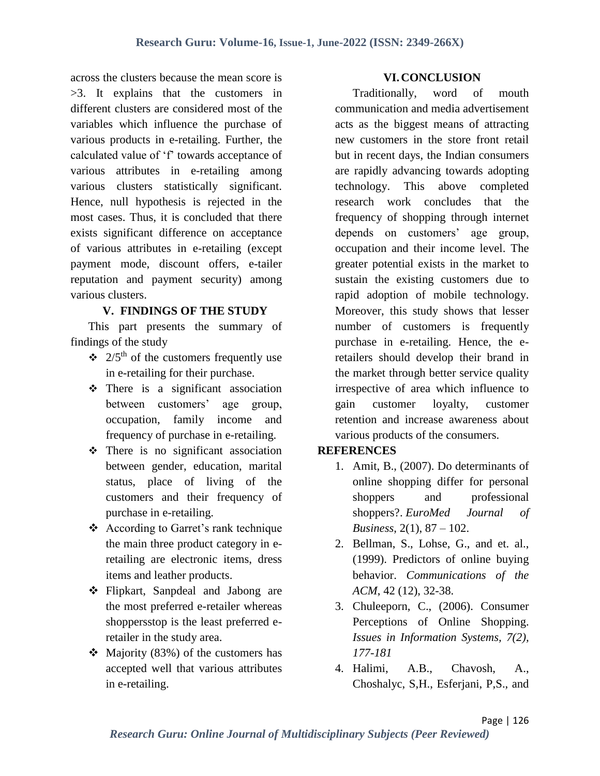across the clusters because the mean score is >3. It explains that the customers in different clusters are considered most of the variables which influence the purchase of various products in e-retailing. Further, the calculated value of 'f' towards acceptance of various attributes in e-retailing among various clusters statistically significant. Hence, null hypothesis is rejected in the most cases. Thus, it is concluded that there exists significant difference on acceptance of various attributes in e-retailing (except payment mode, discount offers, e-tailer reputation and payment security) among various clusters.

#### **V. FINDINGS OF THE STUDY**

This part presents the summary of findings of the study

- $\div$  2/5<sup>th</sup> of the customers frequently use in e-retailing for their purchase.
- $\div$  There is a significant association between customers' age group, occupation, family income and frequency of purchase in e-retailing.
- $\div$  There is no significant association between gender, education, marital status, place of living of the customers and their frequency of purchase in e-retailing.
- According to Garret's rank technique the main three product category in eretailing are electronic items, dress items and leather products.
- Flipkart, Sanpdeal and Jabong are the most preferred e-retailer whereas shoppersstop is the least preferred eretailer in the study area.
- $\div$  Majority (83%) of the customers has accepted well that various attributes in e-retailing.

#### **VI.CONCLUSION**

Traditionally, word of mouth communication and media advertisement acts as the biggest means of attracting new customers in the store front retail but in recent days, the Indian consumers are rapidly advancing towards adopting technology. This above completed research work concludes that the frequency of shopping through internet depends on customers' age group, occupation and their income level. The greater potential exists in the market to sustain the existing customers due to rapid adoption of mobile technology. Moreover, this study shows that lesser number of customers is frequently purchase in e-retailing. Hence, the eretailers should develop their brand in the market through better service quality irrespective of area which influence to gain customer loyalty, customer retention and increase awareness about various products of the consumers.

#### **REFERENCES**

- 1. Amit, B., (2007). Do determinants of online shopping differ for personal shoppers and professional shoppers?. *EuroMed Journal of Business*, 2(1), 87 – 102.
- 2. Bellman, S., Lohse, G., and et. al., (1999). Predictors of online buying behavior. *Communications of the ACM*, 42 (12), 32-38.
- 3. Chuleeporn, C., (2006). Consumer Perceptions of Online Shopping. *Issues in Information Systems, 7(2), 177-181*
- 4. Halimi, A.B., Chavosh, A., Choshalyc, S,H., Esferjani, P,S., and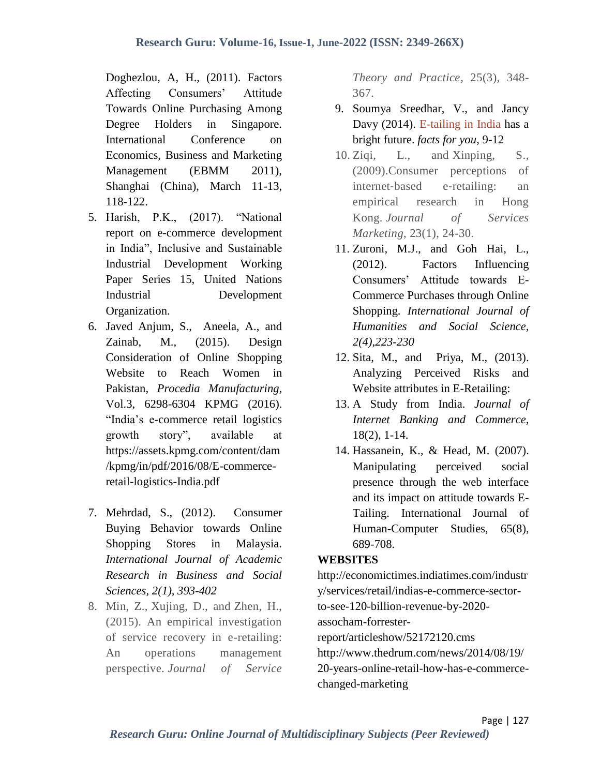Doghezlou, A, H., (2011). Factors Affecting Consumers' Attitude Towards Online Purchasing Among Degree Holders in Singapore. International Conference on Economics, Business and Marketing Management (EBMM 2011), Shanghai (China), March 11-13, 118-122.

- 5. Harish, P.K., (2017). "National report on e-commerce development in India", Inclusive and Sustainable Industrial Development Working Paper Series 15, United Nations Industrial Development Organization.
- 6. Javed Anjum, S., Aneela, A., and Zainab, M., (2015). Design Consideration of Online Shopping Website to Reach Women in Pakistan, *Procedia Manufacturing*, Vol.3, 6298-6304 KPMG (2016). "India's e-commerce retail logistics growth story", available at https://assets.kpmg.com/content/dam /kpmg/in/pdf/2016/08/E-commerceretail-logistics-India.pdf
- 7. Mehrdad, S., (2012). Consumer Buying Behavior towards Online Shopping Stores in Malaysia. *International Journal of Academic Research in Business and Social Sciences, 2(1), 393-402*
- 8. Min, Z., Xujing, D., and Zhen, H., (2015). An empirical investigation of service recovery in e-retailing: An operations management perspective. *Journal of Service*

*Theory and Practice*, 25(3), 348- 367.

- 9. Soumya Sreedhar, V., and Jancy Davy (2014). E-tailing in India has a bright future. *facts for you*, 9-12
- 10. Ziqi, L., and Xinping, S., (2009).Consumer perceptions of internet‐based e‐retailing: an empirical research in Hong Kong. *Journal of Services Marketing*, 23(1), 24-30.
- 11. Zuroni, M.J., and Goh Hai, L., (2012). Factors Influencing Consumers' Attitude towards E-Commerce Purchases through Online Shopping. *International Journal of Humanities and Social Science, 2(4),223-230*
- 12. Sita, M., and Priya, M., (2013). Analyzing Perceived Risks and Website attributes in E-Retailing:
- 13. A Study from India. *Journal of Internet Banking and Commerce,*  18(2), 1-14.
- 14. Hassanein, K., & Head, M. (2007). Manipulating perceived social presence through the web interface and its impact on attitude towards E-Tailing. International Journal of Human-Computer Studies, 65(8), 689-708.

#### **WEBSITES**

http://economictimes.indiatimes.com/industr y/services/retail/indias-e-commerce-sectorto-see-120-billion-revenue-by-2020 assocham-forresterreport/articleshow/52172120.cms http://www.thedrum.com/news/2014/08/19/ 20-years-online-retail-how-has-e-commercechanged-marketing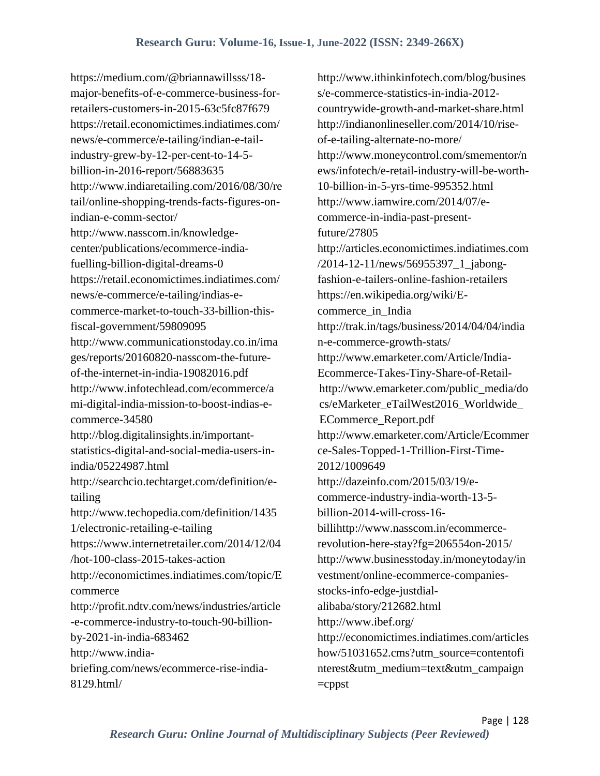https://medium.com/@briannawillsss/18 major-benefits-of-e-commerce-business-forretailers-customers-in-2015-63c5fc87f679 https://retail.economictimes.indiatimes.com/ news/e-commerce/e-tailing/indian-e-tailindustry-grew-by-12-per-cent-to-14-5 billion-in-2016-report/56883635 http://www.indiaretailing.com/2016/08/30/re tail/online-shopping-trends-facts-figures-onindian-e-comm-sector/ http://www.nasscom.in/knowledgecenter/publications/ecommerce-indiafuelling-billion-digital-dreams-0 https://retail.economictimes.indiatimes.com/ news/e-commerce/e-tailing/indias-ecommerce-market-to-touch-33-billion-thisfiscal-government/59809095 http://www.communicationstoday.co.in/ima ges/reports/20160820-nasscom-the-futureof-the-internet-in-india-19082016.pdf http://www.infotechlead.com/ecommerce/a mi-digital-india-mission-to-boost-indias-ecommerce-34580 http://blog.digitalinsights.in/importantstatistics-digital-and-social-media-users-inindia/05224987.html http://searchcio.techtarget.com/definition/etailing http://www.techopedia.com/definition/1435 1/electronic-retailing-e-tailing https://www.internetretailer.com/2014/12/04 /hot-100-class-2015-takes-action http://economictimes.indiatimes.com/topic/E commerce http://profit.ndtv.com/news/industries/article -e-commerce-industry-to-touch-90-billionby-2021-in-india-683462 http://www.indiabriefing.com/news/ecommerce-rise-india-8129.html/

http://www.ithinkinfotech.com/blog/busines s/e-commerce-statistics-in-india-2012 countrywide-growth-and-market-share.html http://indianonlineseller.com/2014/10/riseof-e-tailing-alternate-no-more/ http://www.moneycontrol.com/smementor/n ews/infotech/e-retail-industry-will-be-worth-10-billion-in-5-yrs-time-995352.html http://www.iamwire.com/2014/07/ecommerce-in-india-past-presentfuture/27805 http://articles.economictimes.indiatimes.com /2014-12-11/news/56955397\_1\_jabongfashion-e-tailers-online-fashion-retailers https://en.wikipedia.org/wiki/Ecommerce in India http://trak.in/tags/business/2014/04/04/india n-e-commerce-growth-stats/ http://www.emarketer.com/Article/India-Ecommerce-Takes-Tiny-Share-of-Retailhttp://www.emarketer.com/public\_media/do cs/eMarketer\_eTailWest2016\_Worldwide\_ ECommerce\_Report.pdf http://www.emarketer.com/Article/Ecommer ce-Sales-Topped-1-Trillion-First-Time-2012/1009649 http://dazeinfo.com/2015/03/19/ecommerce-industry-india-worth-13-5 billion-2014-will-cross-16 billihttp://www.nasscom.in/ecommercerevolution-here-stay?fg=206554on-2015/ http://www.businesstoday.in/moneytoday/in vestment/online-ecommerce-companiesstocks-info-edge-justdialalibaba/story/212682.html http://www.ibef.org/ http://economictimes.indiatimes.com/articles how/51031652.cms?utm\_source=contentofi nterest&utm\_medium=text&utm\_campaign  $=$ cppst